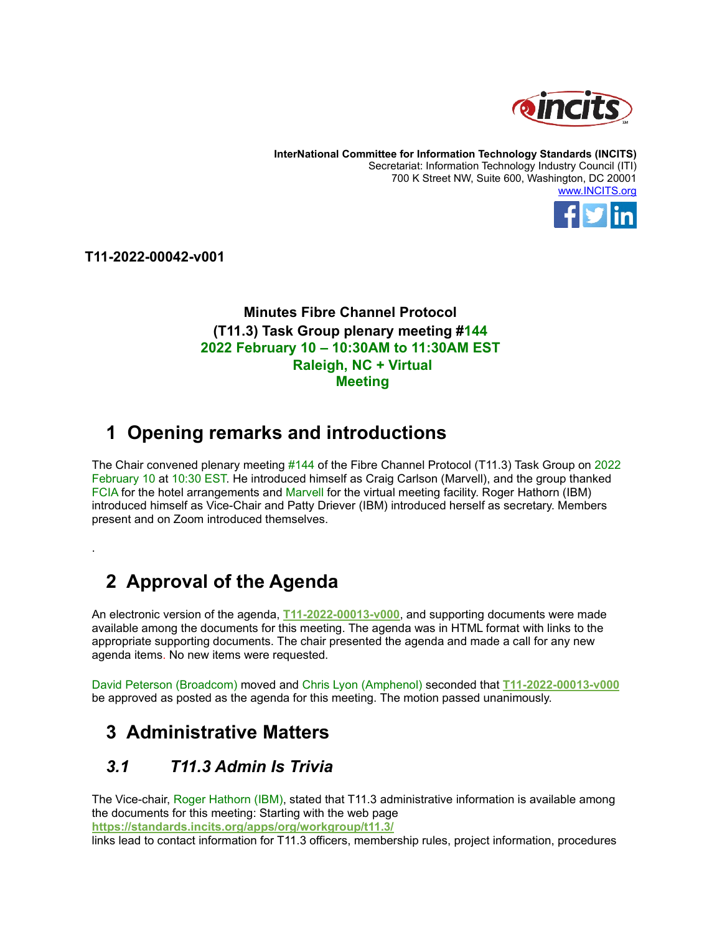

**InterNational Committee for Information Technology Standards (INCITS)** Secretariat: Information Technology Industry Council (ITI) 700 K Street NW, Suite 600, Washington, DC 20001 [www.INCITS.org](http://www.incits.org/)



**T11-2022-00042-v001**

.

#### **Minutes Fibre Channel Protocol (T11.3) Task Group plenary meeting #144 2022 February 10 – 10:30AM to 11:30AM EST Raleigh, NC + Virtual Meeting**

## **1 Opening remarks and introductions**

The Chair convened plenary meeting #144 of the Fibre Channel Protocol (T11.3) Task Group on 2022 February 10 at 10:30 EST. He introduced himself as Craig Carlson (Marvell), and the group thanked FCIA for the hotel arrangements and Marvell for the virtual meeting facility. Roger Hathorn (IBM) introduced himself as Vice-Chair and Patty Driever (IBM) introduced herself as secretary. Members present and on Zoom introduced themselves.

# **2 Approval of the Agenda**

An electronic version of the agenda, **[T11-2022-00013-v000](https://standards.incits.org/apps/org/workgroup/t11/download.php/137599/T11-2022-00013-v000.htm)**, and supporting documents were made available among the documents for this meeting. The agenda was in HTML format with links to the appropriate supporting documents. The chair presented the agenda and made a call for any new agenda items. No new items were requested.

David Peterson (Broadcom) moved and Chris Lyon (Amphenol) seconded that **[T11-2022-00013-v000](https://standards.incits.org/apps/org/workgroup/t11/download.php/137599/T11-2022-00013-v000.htm)** be approved as posted as the agenda for this meeting. The motion passed unanimously.

## **3 Administrative Matters**

### *3.1 T11.3 Admin Is Trivia*

The Vice-chair, Roger Hathorn (IBM), stated that T11.3 administrative information is available among the documents for this meeting: Starting with the web page **<https://standards.incits.org/apps/org/workgroup/t11.3/>**

links lead to contact information for T11.3 officers, membership rules, project information, procedures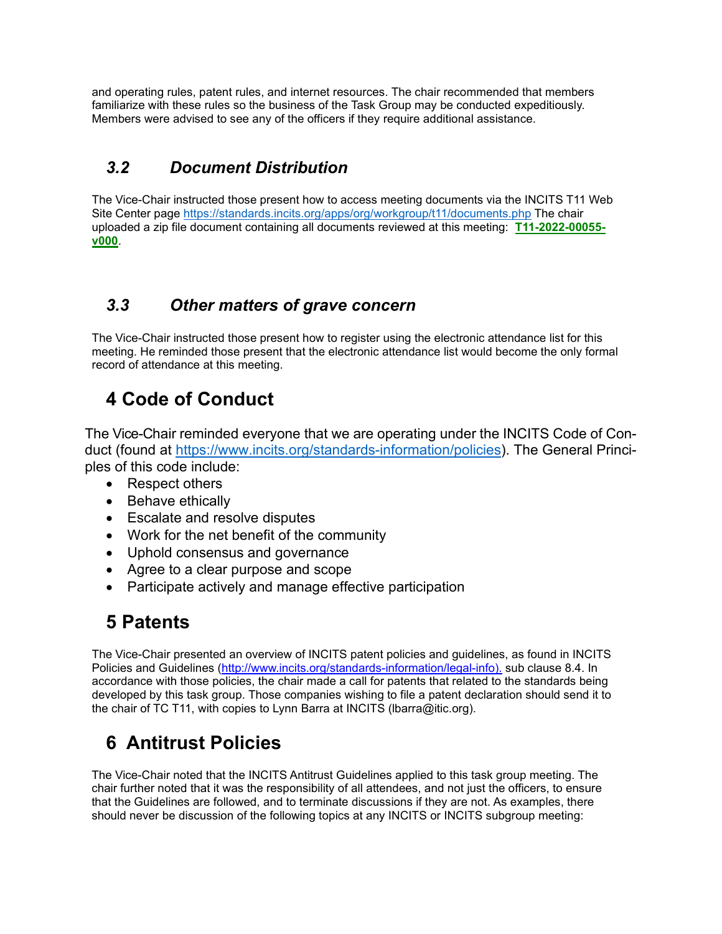and operating rules, patent rules, and internet resources. The chair recommended that members familiarize with these rules so the business of the Task Group may be conducted expeditiously. Members were advised to see any of the officers if they require additional assistance.

## *3.2 Document Distribution*

The Vice-Chair instructed those present how to access meeting documents via the INCITS T11 Web Site Center page<https://standards.incits.org/apps/org/workgroup/t11/documents.php> The chair uploaded a zip file document containing all documents reviewed at this meeting: **[T11-2022-00055](https://standards.incits.org/apps/org/workgroup/t11/download.php/138215/T11-2022-00055-v000.zip) [v000](https://standards.incits.org/apps/org/workgroup/t11/download.php/138215/T11-2022-00055-v000.zip)**.

### *3.3 Other matters of grave concern*

The Vice-Chair instructed those present how to register using the electronic attendance list for this meeting. He reminded those present that the electronic attendance list would become the only formal record of attendance at this meeting.

# **4 Code of Conduct**

The Vice-Chair reminded everyone that we are operating under the INCITS Code of Conduct (found at [https://www.incits.org/standards-information/policies\)](https://www.incits.org/standards-information/policies). The General Principles of this code include:

- Respect others
- Behave ethically
- Escalate and resolve disputes
- Work for the net benefit of the community
- Uphold consensus and governance
- Agree to a clear purpose and scope
- Participate actively and manage effective participation

# **5 Patents**

The Vice-Chair presented an overview of INCITS patent policies and guidelines, as found in INCITS Policies and Guidelines [\(http://www.incits.org/standards-information/legal-info\)](http://www.incits.org/standards-information/legal-info)). sub clause 8.4. In accordance with those policies, the chair made a call for patents that related to the standards being developed by this task group. Those companies wishing to file a patent declaration should send it to the chair of TC T11, with copies to Lynn Barra at INCITS (lbarra@itic.org).

# **6 Antitrust Policies**

The Vice-Chair noted that the INCITS Antitrust Guidelines applied to this task group meeting. The chair further noted that it was the responsibility of all attendees, and not just the officers, to ensure that the Guidelines are followed, and to terminate discussions if they are not. As examples, there should never be discussion of the following topics at any INCITS or INCITS subgroup meeting: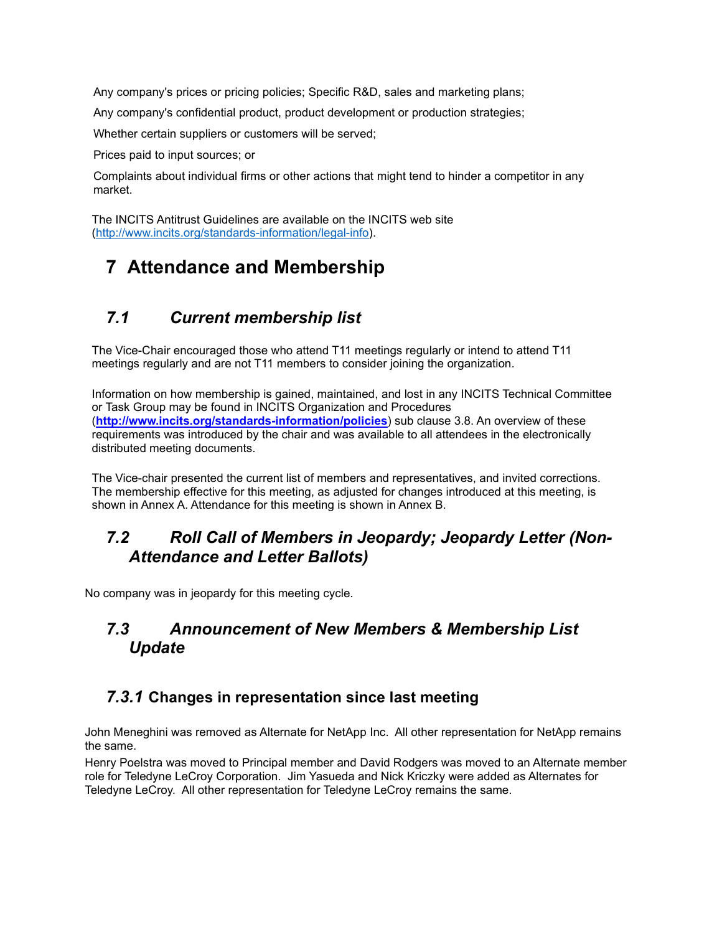Any company's prices or pricing policies; Specific R&D, sales and marketing plans;

Any company's confidential product, product development or production strategies;

Whether certain suppliers or customers will be served;

Prices paid to input sources; or

Complaints about individual firms or other actions that might tend to hinder a competitor in any market.

The INCITS Antitrust Guidelines are available on the INCITS web site [\(http://www.incits.org/standards-information/legal-info\)](http://www.incits.org/standards-information/legal-info).

# **7 Attendance and Membership**

### *7.1 Current membership list*

The Vice-Chair encouraged those who attend T11 meetings regularly or intend to attend T11 meetings regularly and are not T11 members to consider joining the organization.

Information on how membership is gained, maintained, and lost in any INCITS Technical Committee or Task Group may be found in INCITS Organization and Procedures (**<http://www.incits.org/standards-information/policies>**) sub clause 3.8. An overview of these requirements was introduced by the chair and was available to all attendees in the electronically distributed meeting documents.

The Vice-chair presented the current list of members and representatives, and invited corrections. The membership effective for this meeting, as adjusted for changes introduced at this meeting, is shown in Annex A. Attendance for this meeting is shown in Annex B.

### *7.2 Roll Call of Members in Jeopardy; Jeopardy Letter (Non-Attendance and Letter Ballots)*

No company was in jeopardy for this meeting cycle.

### *7.3 Announcement of New Members & Membership List Update*

#### *7.3.1* **Changes in representation since last meeting**

John Meneghini was removed as Alternate for NetApp Inc. All other representation for NetApp remains the same.

Henry Poelstra was moved to Principal member and David Rodgers was moved to an Alternate member role for Teledyne LeCroy Corporation. Jim Yasueda and Nick Kriczky were added as Alternates for Teledyne LeCroy. All other representation for Teledyne LeCroy remains the same.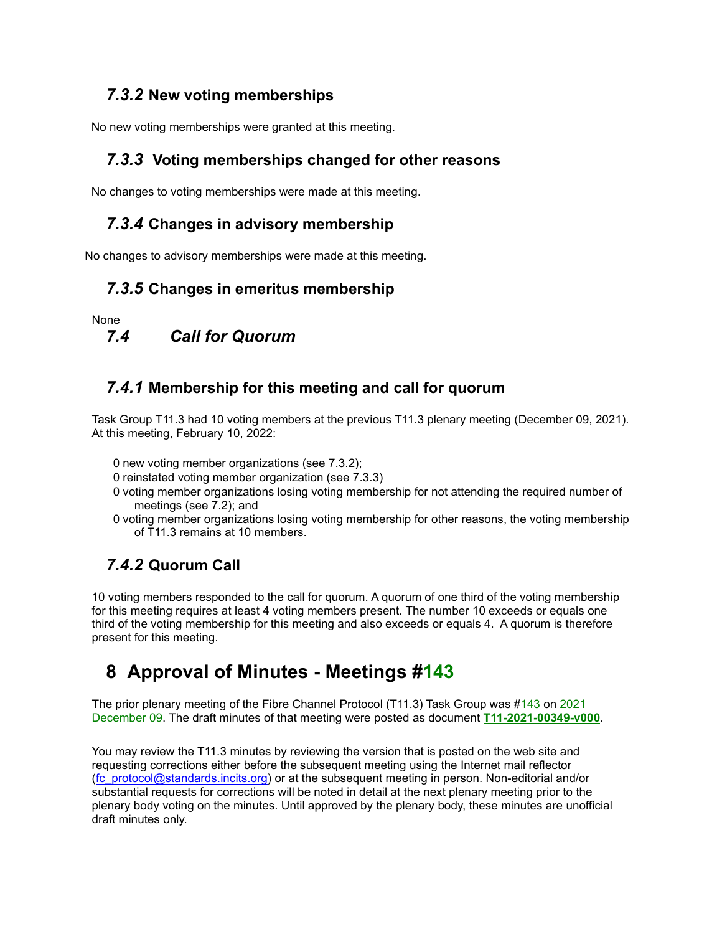#### *7.3.2* **New voting memberships**

No new voting memberships were granted at this meeting.

### *7.3.3* **Voting memberships changed for other reasons**

No changes to voting memberships were made at this meeting.

#### *7.3.4* **Changes in advisory membership**

No changes to advisory memberships were made at this meeting.

#### *7.3.5* **Changes in emeritus membership**

None

# *7.4 Call for Quorum*

#### *7.4.1* **Membership for this meeting and call for quorum**

Task Group T11.3 had 10 voting members at the previous T11.3 plenary meeting (December 09, 2021). At this meeting, February 10, 2022:

- 0 new voting member organizations (see 7.3.2);
- 0 reinstated voting member organization (see 7.3.3)
- 0 voting member organizations losing voting membership for not attending the required number of meetings (see 7.2); and
- 0 voting member organizations losing voting membership for other reasons, the voting membership of T11.3 remains at 10 members.

### *7.4.2* **Quorum Call**

10 voting members responded to the call for quorum. A quorum of one third of the voting membership for this meeting requires at least 4 voting members present. The number 10 exceeds or equals one third of the voting membership for this meeting and also exceeds or equals 4. A quorum is therefore present for this meeting.

## **8 Approval of Minutes - Meetings #143**

The prior plenary meeting of the Fibre Channel Protocol (T11.3) Task Group was #143 on 2021 December 09. The draft minutes of that meeting were posted as document **[T11-2021-00349-v000](https://standards.incits.org/apps/org/workgroup/t11/download.php/136839/T11-2021-00349-v000.pdf)**.

You may review the T11.3 minutes by reviewing the version that is posted on the web site and requesting corrections either before the subsequent meeting using the Internet mail reflector (fc\_protocol@standards.incits.org) or at the subsequent meeting in person. Non-editorial and/or substantial requests for corrections will be noted in detail at the next plenary meeting prior to the plenary body voting on the minutes. Until approved by the plenary body, these minutes are unofficial draft minutes only.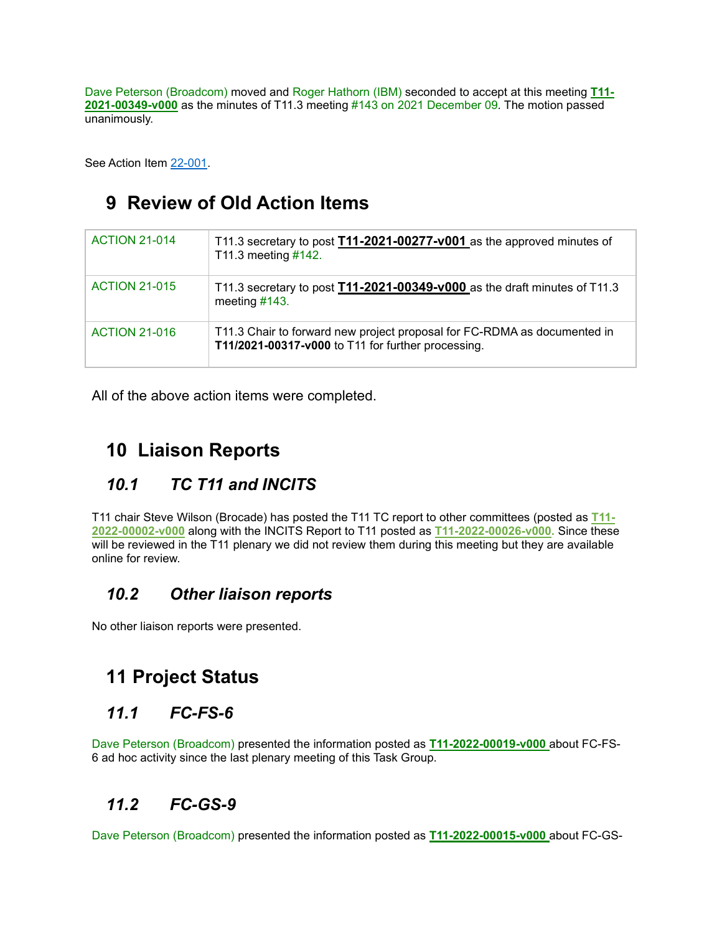Dave Peterson (Broadcom) moved and Roger Hathorn (IBM) seconded to accept at this meeting **[T11-](https://standards.incits.org/apps/org/workgroup/t11/download.php/136839/T11-2021-00349-v000.pdf) [2021-00349-v000](https://standards.incits.org/apps/org/workgroup/t11/download.php/136839/T11-2021-00349-v000.pdf)** as the minutes of T11.3 meeting #143 on 2021 December 09. The motion passed unanimously.

See Action Item [22-001.](#page-6-0)

# **9 Review of Old Action Items**

| <b>ACTION 21-014</b> | T11.3 secretary to post <b>T11-2021-00277-v001</b> as the approved minutes of<br>T11.3 meeting $\#142$ .                       |
|----------------------|--------------------------------------------------------------------------------------------------------------------------------|
| <b>ACTION 21-015</b> | T11.3 secretary to post $T11$ -2021-00349-v000 as the draft minutes of T11.3<br>meeting $#143$ .                               |
| <b>ACTION 21-016</b> | T11.3 Chair to forward new project proposal for FC-RDMA as documented in<br>T11/2021-00317-v000 to T11 for further processing. |

All of the above action items were completed.

# **10 Liaison Reports**

## *10.1 TC T11 and INCITS*

T11 chair Steve Wilson (Brocade) has posted the T11 TC report to other committees (posted as **[T11-](https://standards.incits.org/apps/org/workgroup/t11/download.php/137196/T11-2022-00002-v000.pdf) [2022-00002-v000](https://standards.incits.org/apps/org/workgroup/t11/download.php/137196/T11-2022-00002-v000.pdf)** along with the INCITS Report to T11 posted as **[T11-2022-00026-v000.](https://standards.incits.org/apps/org/workgroup/t11/download.php/137948/T11-2022-00026-v000.pdf)** Since these will be reviewed in the T11 plenary we did not review them during this meeting but they are available online for review.

### *10.2 Other liaison reports*

No other liaison reports were presented.

# **11 Project Status**

## *11.1 FC-FS-6*

Dave Peterson (Broadcom) presented the information posted as **[T11-2022-00019-v000](https://standards.incits.org/apps/org/workgroup/t11/download.php/138179/T11-2022-00019-v000.pdf)** about FC-FS-6 ad hoc activity since the last plenary meeting of this Task Group.

## *11.2 FC-GS-9*

Dave Peterson (Broadcom) presented the information posted as **[T11-2022-00015-v000](https://standards.incits.org/apps/org/workgroup/t11/download.php/138195/T11-2022-00015-v000.pdf)** about FC-GS-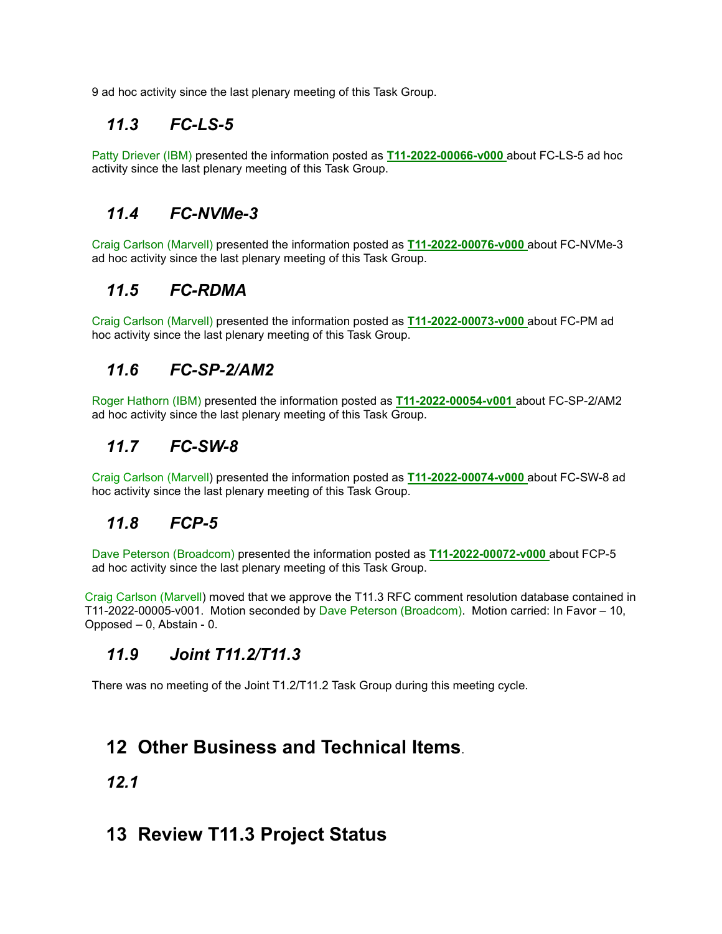9 ad hoc activity since the last plenary meeting of this Task Group.

## *11.3 FC-LS-5*

Patty Driever (IBM) presented the information posted as **[T11-2022-00066-v000](https://standards.incits.org/apps/org/workgroup/t11/download.php/138167/T11-2022-00066-v000.pdf)** about FC-LS-5 ad hoc activity since the last plenary meeting of this Task Group.

## *11.4 FC-NVMe-3*

Craig Carlson (Marvell) presented the information posted as **[T11-2022-00076-v000](https://standards.incits.org/apps/org/workgroup/t11/download.php/138204/T11-2022-00076-v000.pdf)** about FC-NVMe-3 ad hoc activity since the last plenary meeting of this Task Group.

## *11.5 FC-RDMA*

Craig Carlson (Marvell) presented the information posted as **[T11-2022-00073-v000](https://standards.incits.org/apps/org/workgroup/t11/download.php/138192/T11-2022-00073-v000.pdf)** about FC-PM ad hoc activity since the last plenary meeting of this Task Group.

### *11.6 FC-SP-2/AM2*

Roger Hathorn (IBM) presented the information posted as **[T11-2022-00054-v001](https://standards.incits.org/apps/org/workgroup/t11/download.php/138207/T11-2022-00054-v001.pdf)** about FC-SP-2/AM2 ad hoc activity since the last plenary meeting of this Task Group.

### *11.7 FC-SW-8*

Craig Carlson (Marvell) presented the information posted as **[T11-2022-00074-v000](https://standards.incits.org/apps/org/workgroup/t11/download.php/138193/T11-2022-00074-v000.pdf)** about FC-SW-8 ad hoc activity since the last plenary meeting of this Task Group.

### *11.8 FCP-5*

Dave Peterson (Broadcom) presented the information posted as **[T11-2022-00072-v000](https://standards.incits.org/apps/org/workgroup/t11/download.php/138194/T11-2022-00072-v000.pdf)** about FCP-5 ad hoc activity since the last plenary meeting of this Task Group.

Craig Carlson (Marvell) moved that we approve the T11.3 RFC comment resolution database contained in T11-2022-00005-v001. Motion seconded by Dave Peterson (Broadcom). Motion carried: In Favor – 10, Opposed – 0, Abstain - 0.

### *11.9 Joint T11.2/T11.3*

There was no meeting of the Joint T1.2/T11.2 Task Group during this meeting cycle.

## **12 Other Business and Technical Items**.

#### *12.1*

## **13 Review T11.3 Project Status**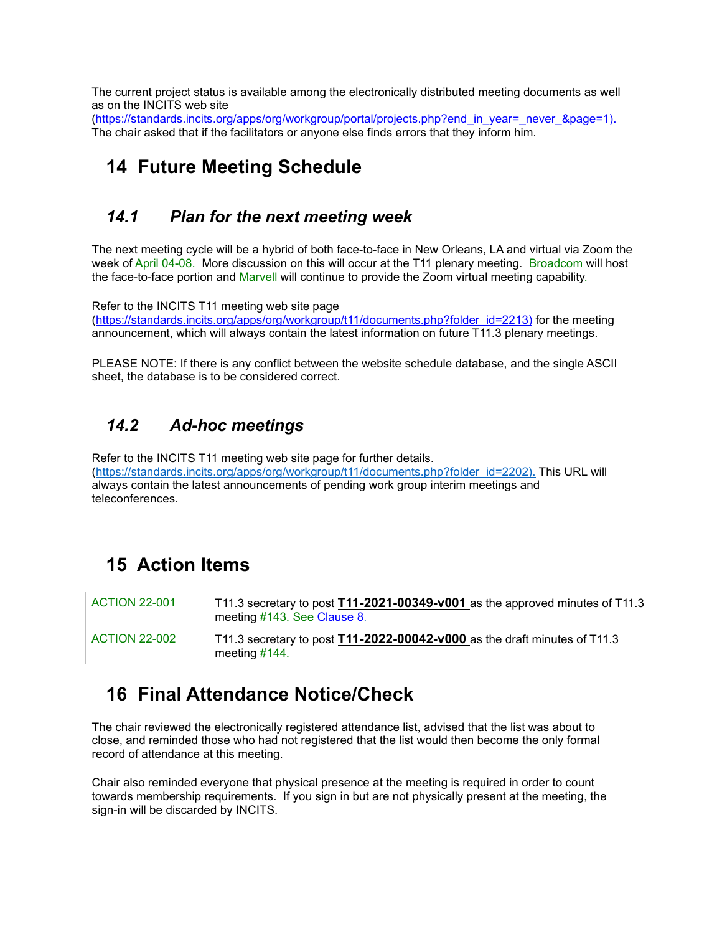The current project status is available among the electronically distributed meeting documents as well as on the INCITS web site

[\(https://standards.incits.org/apps/org/workgroup/portal/projects.php?end\\_in\\_year=\\_never\\_&page=1\).](https://standards.incits.org/apps/org/workgroup/portal/projects.php?end_in_year=_never_&page=1) The chair asked that if the facilitators or anyone else finds errors that they inform him.

# **14 Future Meeting Schedule**

### *14.1 Plan for the next meeting week*

The next meeting cycle will be a hybrid of both face-to-face in New Orleans, LA and virtual via Zoom the week of April 04-08. More discussion on this will occur at the T11 plenary meeting. Broadcom will host the face-to-face portion and Marvell will continue to provide the Zoom virtual meeting capability.

Refer to the INCITS T11 meeting web site page

[\(https://standards.incits.org/apps/org/workgroup/t11/documents.php?folder\\_id=2213\)](https://standards.incits.org/apps/org/workgroup/t11/documents.php?folder_id=2213) for the meeting announcement, which will always contain the latest information on future T11.3 plenary meetings.

PLEASE NOTE: If there is any conflict between the website schedule database, and the single ASCII sheet, the database is to be considered correct.

## *14.2 Ad-hoc meetings*

Refer to the INCITS T11 meeting web site page for further details. [\(https://standards.incits.org/apps/org/workgroup/t11/documents.php?folder\\_id=2202\).](https://standards.incits.org/apps/org/workgroup/t11/documents.php?folder_id=2202).) This URL will always contain the latest announcements of pending work group interim meetings and teleconferences.

# **15 Action Items**

<span id="page-6-0"></span>

| <b>ACTION 22-001</b> | $\top$ T11.3 secretary to post <b>T11-2021-00349-v001</b> as the approved minutes of T11.3<br>meeting #143. See Clause 8. |
|----------------------|---------------------------------------------------------------------------------------------------------------------------|
| <b>ACTION 22-002</b> | T11.3 secretary to post $T11$ -2022-00042-v000 as the draft minutes of T11.3<br>meeting $#144$ .                          |

## **16 Final Attendance Notice/Check**

The chair reviewed the electronically registered attendance list, advised that the list was about to close, and reminded those who had not registered that the list would then become the only formal record of attendance at this meeting.

Chair also reminded everyone that physical presence at the meeting is required in order to count towards membership requirements. If you sign in but are not physically present at the meeting, the sign-in will be discarded by INCITS.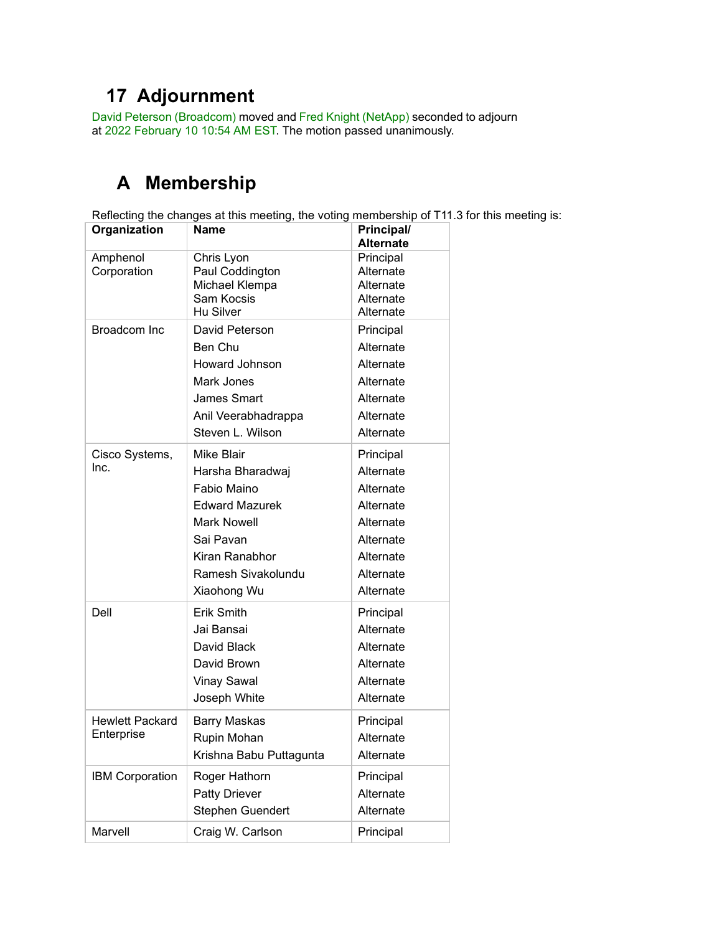# **17 Adjournment**

David Peterson (Broadcom) moved and Fred Knight (NetApp) seconded to adjourn at 2022 February 10 10:54 AM EST. The motion passed unanimously.

# **A Membership**

Reflecting the changes at this meeting, the voting membership of T11.3 for this meeting is:

| Organization                         | Name                                                                                                                                                      | Principal/<br>Alternate                                                                                           |
|--------------------------------------|-----------------------------------------------------------------------------------------------------------------------------------------------------------|-------------------------------------------------------------------------------------------------------------------|
| Amphenol<br>Corporation              | Chris Lyon<br>Paul Coddington<br>Michael Klempa<br>Sam Kocsis<br>Hu Silver                                                                                | Principal<br>Alternate<br>Alternate<br>Alternate<br>Alternate                                                     |
| Broadcom Inc                         | David Peterson<br>Ben Chu<br>Howard Johnson<br>Mark Jones<br>James Smart<br>Anil Veerabhadrappa<br>Steven L. Wilson                                       | Principal<br>Alternate<br>Alternate<br>Alternate<br>Alternate<br>Alternate<br>Alternate                           |
| Cisco Systems,<br>Inc.               | Mike Blair<br>Harsha Bharadwaj<br>Fabio Maino<br><b>Edward Mazurek</b><br>Mark Nowell<br>Sai Pavan<br>Kiran Ranabhor<br>Ramesh Sivakolundu<br>Xiaohong Wu | Principal<br>Alternate<br>Alternate<br>Alternate<br>Alternate<br>Alternate<br>Alternate<br>Alternate<br>Alternate |
| Dell                                 | Erik Smith<br>Jai Bansai<br>David Black<br>David Brown<br><b>Vinay Sawal</b><br>Joseph White                                                              | Principal<br>Alternate<br>Alternate<br>Alternate<br>Alternate<br>Alternate                                        |
| <b>Hewlett Packard</b><br>Enterprise | Barry Maskas<br>Rupin Mohan<br>Krishna Babu Puttagunta                                                                                                    | Principal<br>Alternate<br>Alternate                                                                               |
| <b>IBM Corporation</b>               | Roger Hathorn<br><b>Patty Driever</b><br>Stephen Guendert                                                                                                 | Principal<br>Alternate<br>Alternate                                                                               |
| Marvell                              | Craig W. Carlson                                                                                                                                          | Principal                                                                                                         |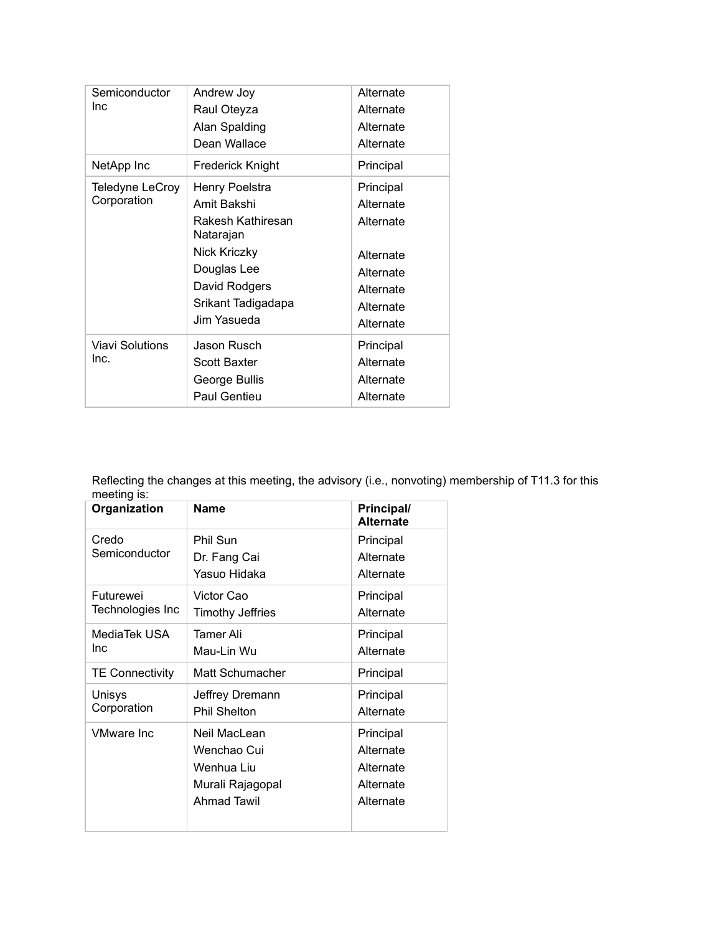| Semiconductor<br>Inc           | Andrew Joy<br>Raul Oteyza<br>Alan Spalding<br>Dean Wallace                                                                                           | Alternate<br>Alternate<br>Alternate<br>Alternate                                                     |
|--------------------------------|------------------------------------------------------------------------------------------------------------------------------------------------------|------------------------------------------------------------------------------------------------------|
| NetApp Inc                     | Frederick Knight                                                                                                                                     | Principal                                                                                            |
| Teledyne LeCroy<br>Corporation | Henry Poelstra<br>Amit Bakshi<br>Rakesh Kathiresan<br>Natarajan<br>Nick Kriczky<br>Douglas Lee<br>David Rodgers<br>Srikant Tadigadapa<br>Jim Yasueda | Principal<br>Alternate<br>Alternate<br>Alternate<br>Alternate<br>Alternate<br>Alternate<br>Alternate |
| Viavi Solutions<br>Inc.        | Jason Rusch<br>Scott Baxter<br>George Bullis<br>Paul Gentieu                                                                                         | Principal<br>Alternate<br>Alternate<br>Alternate                                                     |

Reflecting the changes at this meeting, the advisory (i.e., nonvoting) membership of T11.3 for this meeting is:

| Organization           | Name                    | Principal/<br><b>Alternate</b> |
|------------------------|-------------------------|--------------------------------|
| Credo                  | Phil Sun                | Principal                      |
| Semiconductor          | Dr. Fang Cai            | Alternate                      |
|                        | Yasuo Hidaka            | Alternate                      |
| Futurewei              | Victor Cao              | Principal                      |
| Technologies Inc       | <b>Timothy Jeffries</b> | Alternate                      |
| MediaTek USA           | Tamer Ali               | Principal                      |
| Inc                    | Mau-Lin Wu              | Alternate                      |
| <b>TE Connectivity</b> | Matt Schumacher         | Principal                      |
| Unisys                 | Jeffrey Dremann         | Principal                      |
| Corporation            | <b>Phil Shelton</b>     | Alternate                      |
| <b>VMware Inc</b>      | Neil MacLean            | Principal                      |
|                        | Wenchao Cui             | Alternate                      |
|                        | Wenhua Liu              | Alternate                      |
|                        | Murali Rajagopal        | Alternate                      |
|                        | <b>Ahmad Tawil</b>      | Alternate                      |
|                        |                         |                                |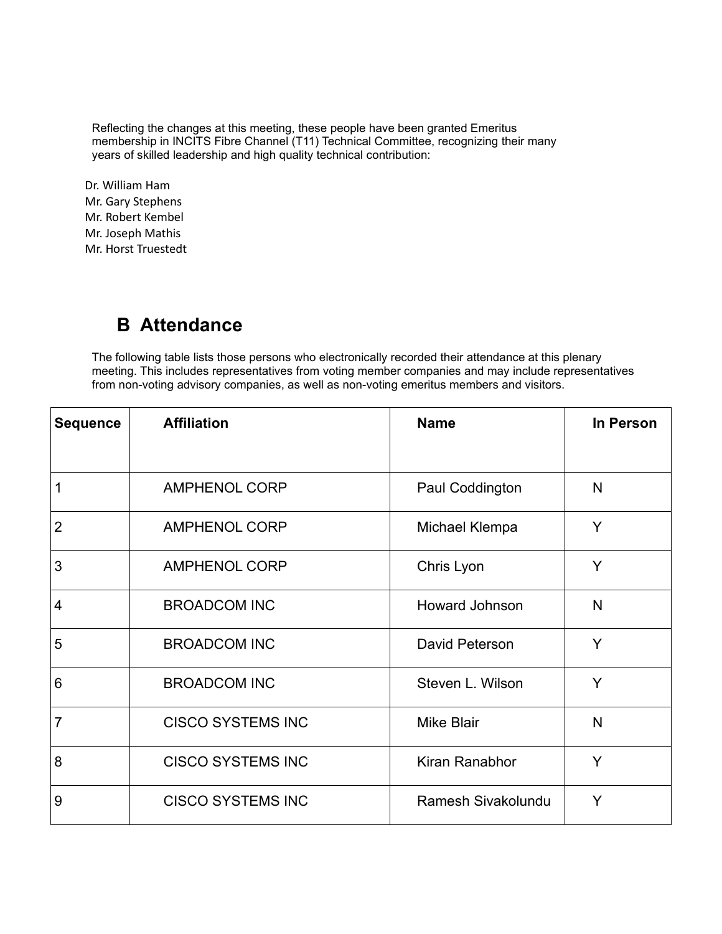Reflecting the changes at this meeting, these people have been granted Emeritus membership in INCITS Fibre Channel (T11) Technical Committee, recognizing their many years of skilled leadership and high quality technical contribution:

Dr. William Ham Mr. Gary Stephens Mr. Robert Kembel Mr. Joseph Mathis Mr. Horst Truestedt

# **B Attendance**

The following table lists those persons who electronically recorded their attendance at this plenary meeting. This includes representatives from voting member companies and may include representatives from non-voting advisory companies, as well as non-voting emeritus members and visitors.

| <b>Sequence</b> | <b>Affiliation</b>       | <b>Name</b>           | In Person |
|-----------------|--------------------------|-----------------------|-----------|
|                 |                          |                       |           |
| 1               | <b>AMPHENOL CORP</b>     | Paul Coddington       | N         |
| $\overline{2}$  | <b>AMPHENOL CORP</b>     | Michael Klempa        | Y         |
| 3               | <b>AMPHENOL CORP</b>     | Chris Lyon            | Y         |
| 4               | <b>BROADCOM INC</b>      | <b>Howard Johnson</b> | N         |
| 5               | <b>BROADCOM INC</b>      | <b>David Peterson</b> | Y         |
| 6               | <b>BROADCOM INC</b>      | Steven L. Wilson      | Y         |
| $\overline{7}$  | <b>CISCO SYSTEMS INC</b> | <b>Mike Blair</b>     | N         |
| 8               | <b>CISCO SYSTEMS INC</b> | Kiran Ranabhor        | Y         |
| 9               | <b>CISCO SYSTEMS INC</b> | Ramesh Sivakolundu    | Y         |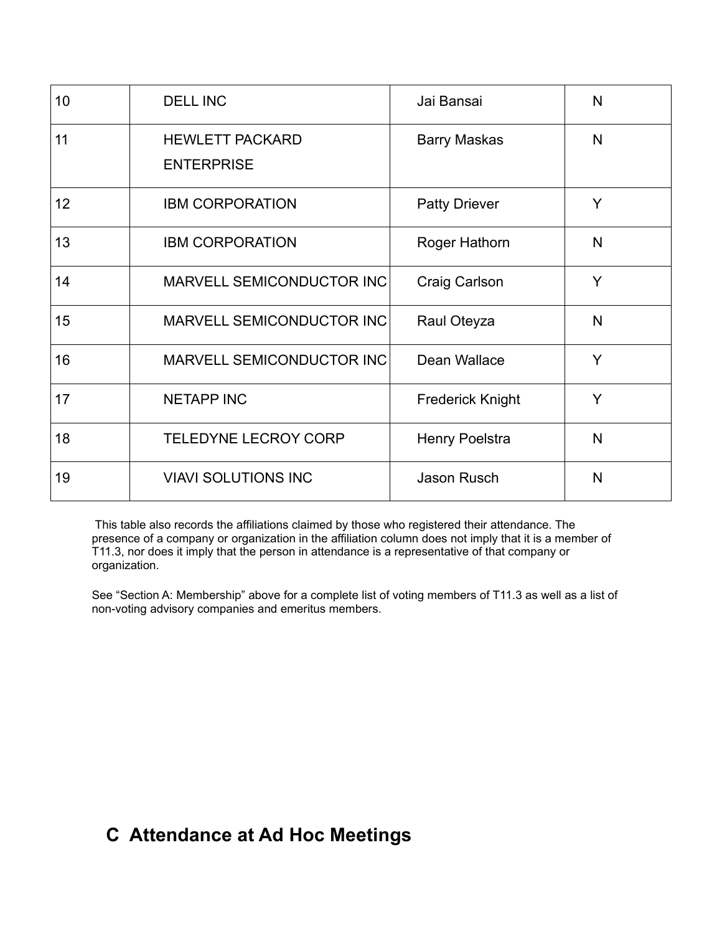| 10              | <b>DELL INC</b>                             | Jai Bansai              | N |
|-----------------|---------------------------------------------|-------------------------|---|
| 11              | <b>HEWLETT PACKARD</b><br><b>ENTERPRISE</b> | <b>Barry Maskas</b>     | N |
| 12 <sub>2</sub> | <b>IBM CORPORATION</b>                      | <b>Patty Driever</b>    | Y |
| 13              | <b>IBM CORPORATION</b>                      | Roger Hathorn           | N |
| 14              | MARVELL SEMICONDUCTOR INC                   | <b>Craig Carlson</b>    | Y |
| 15              | <b>MARVELL SEMICONDUCTOR INC</b>            | Raul Oteyza             | N |
| 16              | MARVELL SEMICONDUCTOR INC                   | Dean Wallace            | Y |
| 17              | <b>NETAPP INC</b>                           | <b>Frederick Knight</b> | Y |
| 18              | <b>TELEDYNE LECROY CORP</b>                 | <b>Henry Poelstra</b>   | N |
| 19              | <b>VIAVI SOLUTIONS INC</b>                  | <b>Jason Rusch</b>      | N |

This table also records the affiliations claimed by those who registered their attendance. The presence of a company or organization in the affiliation column does not imply that it is a member of T11.3, nor does it imply that the person in attendance is a representative of that company or organization.

See "Section A: Membership" above for a complete list of voting members of T11.3 as well as a list of non-voting advisory companies and emeritus members.

# **C Attendance at Ad Hoc Meetings**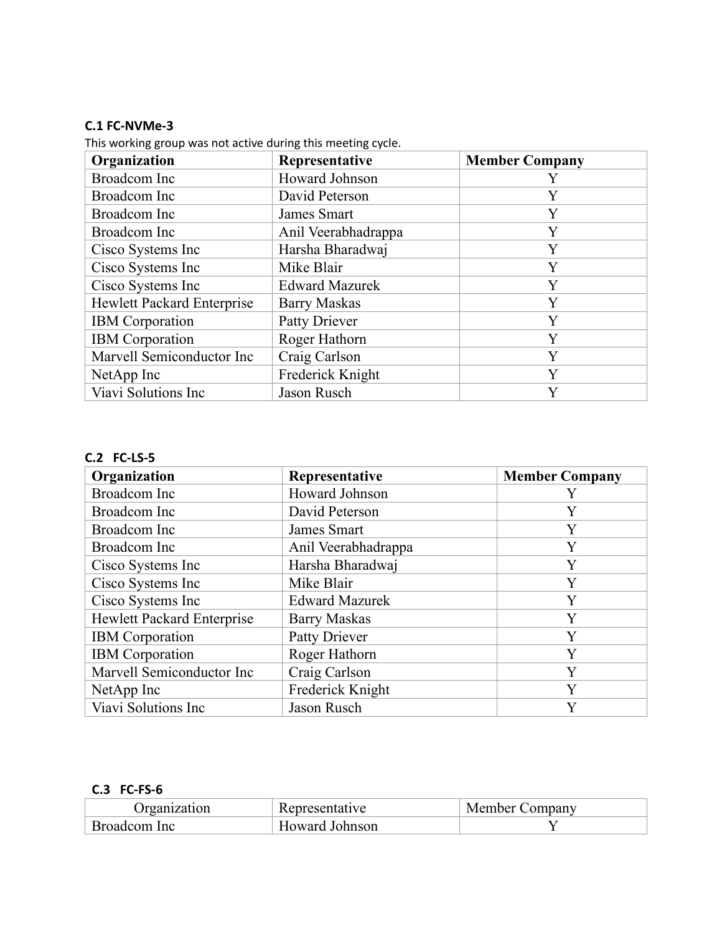#### **C.1 FC-NVMe-3**

This working group was not active during this meeting cycle.

| Organization                      | Representative        | <b>Member Company</b> |
|-----------------------------------|-----------------------|-----------------------|
| <b>Broadcom</b> Inc               | Howard Johnson        |                       |
| <b>Broadcom</b> Inc               | David Peterson        | Y                     |
| Broadcom Inc                      | James Smart           | Y                     |
| <b>Broadcom</b> Inc               | Anil Veerabhadrappa   | Y                     |
| Cisco Systems Inc                 | Harsha Bharadwaj      | Y                     |
| Cisco Systems Inc                 | Mike Blair            | Y                     |
| Cisco Systems Inc                 | <b>Edward Mazurek</b> | Y                     |
| <b>Hewlett Packard Enterprise</b> | <b>Barry Maskas</b>   | Y                     |
| <b>IBM</b> Corporation            | Patty Driever         | Y                     |
| <b>IBM</b> Corporation            | Roger Hathorn         | Y                     |
| Marvell Semiconductor Inc         | Craig Carlson         | Y                     |
| NetApp Inc                        | Frederick Knight      | Y                     |
| Viavi Solutions Inc               | Jason Rusch           | Y                     |

#### **C.2 FC-LS-5**

| Organization                      | Representative        | <b>Member Company</b> |
|-----------------------------------|-----------------------|-----------------------|
| <b>Broadcom</b> Inc               | Howard Johnson        | Y                     |
| <b>Broadcom</b> Inc               | David Peterson        | Y                     |
| Broadcom Inc                      | James Smart           | Y                     |
| Broadcom Inc                      | Anil Veerabhadrappa   | Y                     |
| Cisco Systems Inc                 | Harsha Bharadwaj      | Y                     |
| Cisco Systems Inc                 | Mike Blair            | Y                     |
| Cisco Systems Inc                 | <b>Edward Mazurek</b> | Y                     |
| <b>Hewlett Packard Enterprise</b> | <b>Barry Maskas</b>   | Y                     |
| <b>IBM</b> Corporation            | <b>Patty Driever</b>  | Y                     |
| <b>IBM</b> Corporation            | Roger Hathorn         | Y                     |
| Marvell Semiconductor Inc         | Craig Carlson         | Y                     |
| NetApp Inc                        | Frederick Knight      | Y                     |
| Viavi Solutions Inc               | Jason Rusch           | Y                     |

#### **C.3 FC-FS-6**

| Organization | esentative:     | Company .<br>ember<br>IVI E |
|--------------|-----------------|-----------------------------|
| rom Inc      | Johnson<br>waro |                             |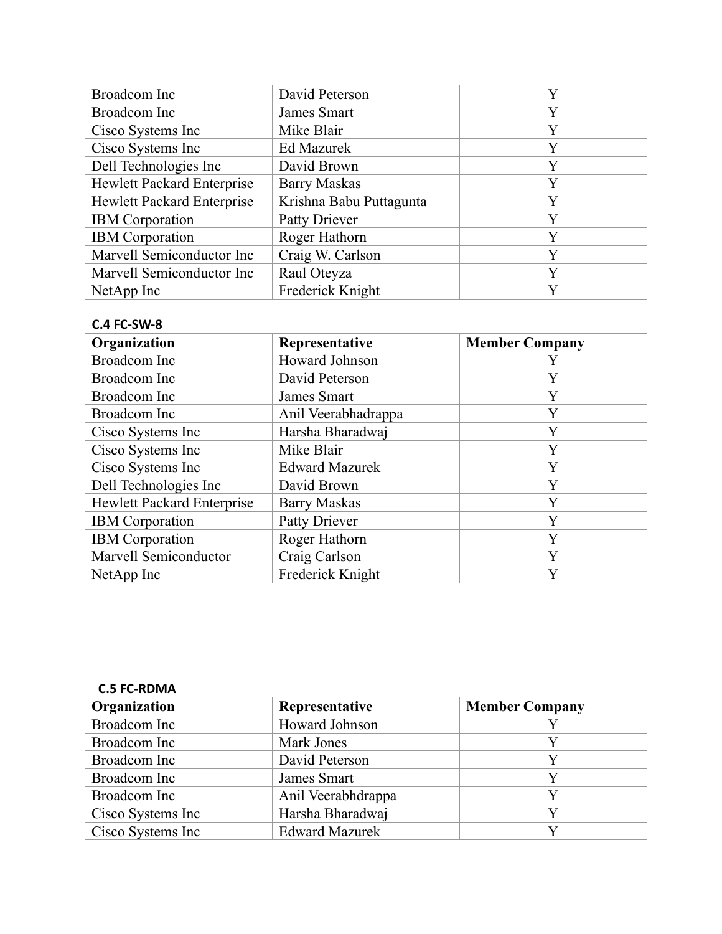| Broadcom Inc                      | David Peterson          | Y |
|-----------------------------------|-------------------------|---|
| Broadcom Inc                      | James Smart             | Y |
| Cisco Systems Inc                 | Mike Blair              | Y |
| Cisco Systems Inc                 | <b>Ed Mazurek</b>       | Y |
| Dell Technologies Inc             | David Brown             | Y |
| Hewlett Packard Enterprise        | <b>Barry Maskas</b>     | Y |
| <b>Hewlett Packard Enterprise</b> | Krishna Babu Puttagunta | Y |
| <b>IBM</b> Corporation            | Patty Driever           | Y |
| <b>IBM</b> Corporation            | Roger Hathorn           | Y |
| Marvell Semiconductor Inc         | Craig W. Carlson        | Y |
| Marvell Semiconductor Inc         | Raul Oteyza             | Y |
| NetApp Inc                        | Frederick Knight        | V |

#### **C.4 FC-SW-8**

| Organization               | Representative        | <b>Member Company</b> |
|----------------------------|-----------------------|-----------------------|
| <b>Broadcom</b> Inc        | Howard Johnson        |                       |
| <b>Broadcom</b> Inc        | David Peterson        | Y                     |
| <b>Broadcom</b> Inc        | James Smart           | Y                     |
| <b>Broadcom</b> Inc        | Anil Veerabhadrappa   | Y                     |
| Cisco Systems Inc          | Harsha Bharadwaj      | Y                     |
| Cisco Systems Inc          | Mike Blair            | Y                     |
| Cisco Systems Inc          | <b>Edward Mazurek</b> | Y                     |
| Dell Technologies Inc      | David Brown           | Y                     |
| Hewlett Packard Enterprise | <b>Barry Maskas</b>   | Y                     |
| <b>IBM</b> Corporation     | Patty Driever         | Y                     |
| <b>IBM</b> Corporation     | Roger Hathorn         | Y                     |
| Marvell Semiconductor      | Craig Carlson         | Y                     |
| NetApp Inc                 | Frederick Knight      | Y                     |

| <b>C.5 FC-RDMA</b>  |                       |                       |
|---------------------|-----------------------|-----------------------|
| Organization        | Representative        | <b>Member Company</b> |
| Broadcom Inc        | Howard Johnson        |                       |
| Broadcom Inc        | Mark Jones            |                       |
| <b>Broadcom</b> Inc | David Peterson        | Y                     |
| Broadcom Inc        | James Smart           | Y                     |
| <b>Broadcom</b> Inc | Anil Veerabhdrappa    | Y                     |
| Cisco Systems Inc   | Harsha Bharadwaj      | V                     |
| Cisco Systems Inc   | <b>Edward Mazurek</b> |                       |